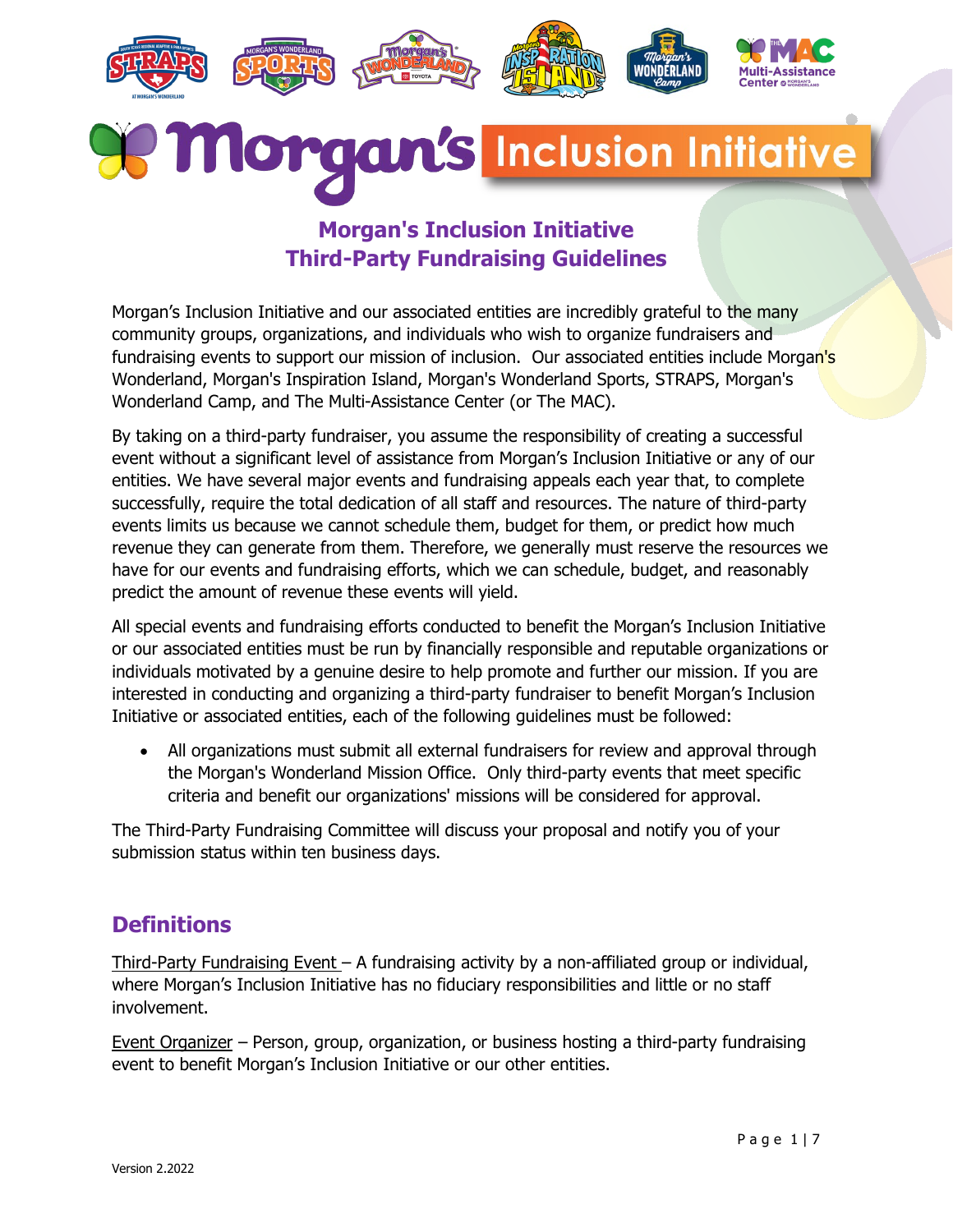

# **Morgan's Inclusion Initiative**

# **Morgan's Inclusion Initiative Third-Party Fundraising Guidelines**

Morgan's Inclusion Initiative and our associated entities are incredibly grateful to the many community groups, organizations, and individuals who wish to organize fundraisers and fundraising events to support our mission of inclusion. Our associated entities include Morgan's Wonderland, Morgan's Inspiration Island, Morgan's Wonderland Sports, STRAPS, Morgan's Wonderland Camp, and The Multi-Assistance Center (or The MAC).

By taking on a third-party fundraiser, you assume the responsibility of creating a successful event without a significant level of assistance from Morgan's Inclusion Initiative or any of our entities. We have several major events and fundraising appeals each year that, to complete successfully, require the total dedication of all staff and resources. The nature of third-party events limits us because we cannot schedule them, budget for them, or predict how much revenue they can generate from them. Therefore, we generally must reserve the resources we have for our events and fundraising efforts, which we can schedule, budget, and reasonably predict the amount of revenue these events will yield.

All special events and fundraising efforts conducted to benefit the Morgan's Inclusion Initiative or our associated entities must be run by financially responsible and reputable organizations or individuals motivated by a genuine desire to help promote and further our mission. If you are interested in conducting and organizing a third-party fundraiser to benefit Morgan's Inclusion Initiative or associated entities, each of the following guidelines must be followed:

• All organizations must submit all external fundraisers for review and approval through the Morgan's Wonderland Mission Office. Only third-party events that meet specific criteria and benefit our organizations' missions will be considered for approval.

The Third-Party Fundraising Committee will discuss your proposal and notify you of your submission status within ten business days.

## **Definitions**

Third-Party Fundraising Event – A fundraising activity by a non-affiliated group or individual, where Morgan's Inclusion Initiative has no fiduciary responsibilities and little or no staff involvement.

Event Organizer – Person, group, organization, or business hosting a third-party fundraising event to benefit Morgan's Inclusion Initiative or our other entities.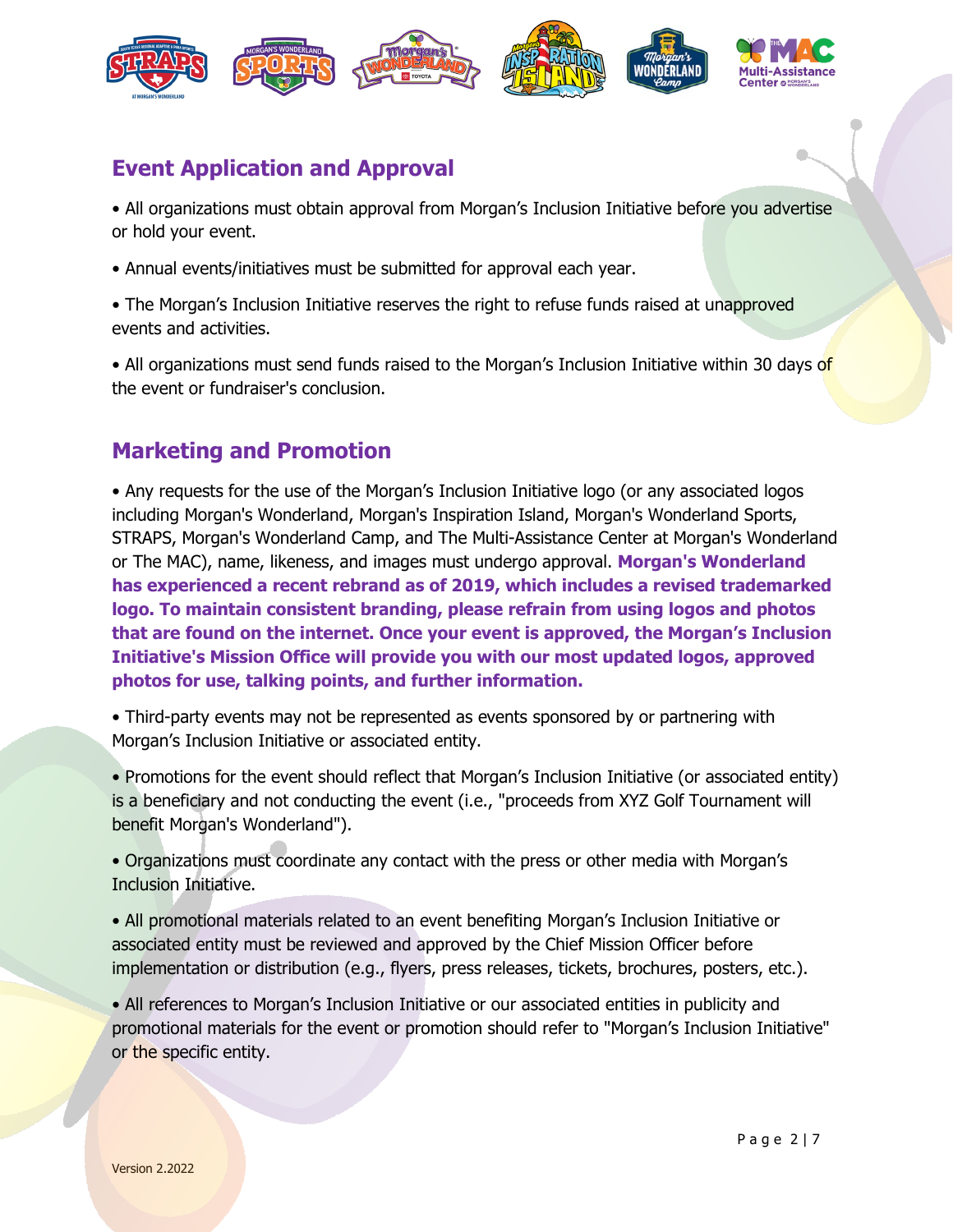

# **Event Application and Approval**

• All organizations must obtain approval from Morgan's Inclusion Initiative before you advertise or hold your event.

- Annual events/initiatives must be submitted for approval each year.
- The Morgan's Inclusion Initiative reserves the right to refuse funds raised at unapproved events and activities.

• All organizations must send funds raised to the Morgan's Inclusion Initiative within 30 days of the event or fundraiser's conclusion.

## **Marketing and Promotion**

• Any requests for the use of the Morgan's Inclusion Initiative logo (or any associated logos including Morgan's Wonderland, Morgan's Inspiration Island, Morgan's Wonderland Sports, STRAPS, Morgan's Wonderland Camp, and The Multi-Assistance Center at Morgan's Wonderland or The MAC), name, likeness, and images must undergo approval. **Morgan's Wonderland has experienced a recent rebrand as of 2019, which includes a revised trademarked logo. To maintain consistent branding, please refrain from using logos and photos that are found on the internet. Once your event is approved, the Morgan's Inclusion Initiative's Mission Office will provide you with our most updated logos, approved photos for use, talking points, and further information.**

• Third-party events may not be represented as events sponsored by or partnering with Morgan's Inclusion Initiative or associated entity.

• Promotions for the event should reflect that Morgan's Inclusion Initiative (or associated entity) is a beneficiary and not conducting the event (i.e., "proceeds from XYZ Golf Tournament will benefit Morgan's Wonderland").

• Organizations must coordinate any contact with the press or other media with Morgan's Inclusion Initiative.

• All promotional materials related to an event benefiting Morgan's Inclusion Initiative or associated entity must be reviewed and approved by the Chief Mission Officer before implementation or distribution (e.g., flyers, press releases, tickets, brochures, posters, etc.).

• All references to Morgan's Inclusion Initiative or our associated entities in publicity and promotional materials for the event or promotion should refer to "Morgan's Inclusion Initiative" or the specific entity.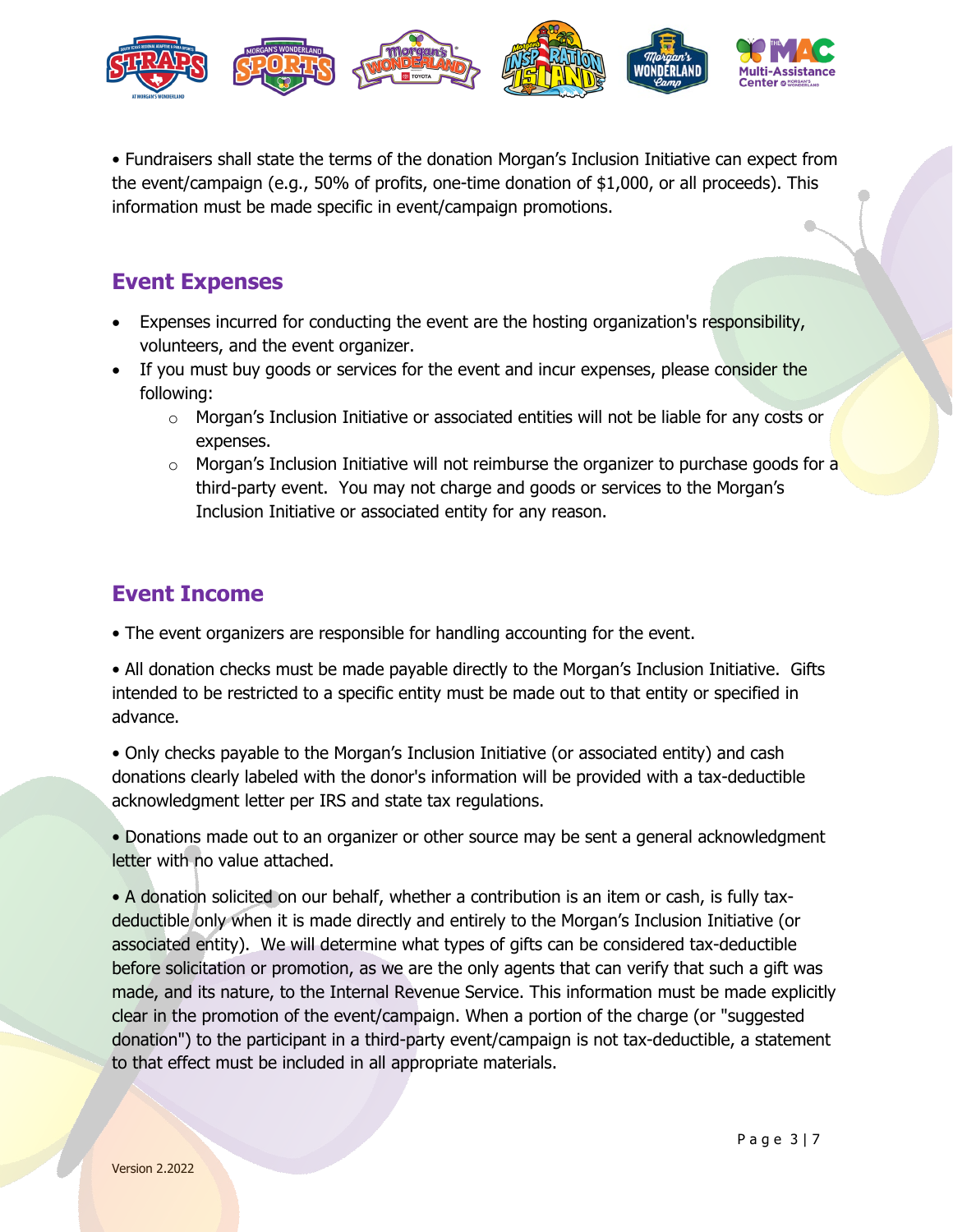

• Fundraisers shall state the terms of the donation Morgan's Inclusion Initiative can expect from the event/campaign (e.g., 50% of profits, one-time donation of \$1,000, or all proceeds). This information must be made specific in event/campaign promotions.

## **Event Expenses**

- Expenses incurred for conducting the event are the hosting organization's responsibility, volunteers, and the event organizer.
- If you must buy goods or services for the event and incur expenses, please consider the following:
	- $\circ$  Morgan's Inclusion Initiative or associated entities will not be liable for any costs or expenses.
	- $\circ$  Morgan's Inclusion Initiative will not reimburse the organizer to purchase goods for a third‐party event. You may not charge and goods or services to the Morgan's Inclusion Initiative or associated entity for any reason.

## **Event Income**

• The event organizers are responsible for handling accounting for the event.

• All donation checks must be made payable directly to the Morgan's Inclusion Initiative. Gifts intended to be restricted to a specific entity must be made out to that entity or specified in advance.

• Only checks payable to the Morgan's Inclusion Initiative (or associated entity) and cash donations clearly labeled with the donor's information will be provided with a tax-deductible acknowledgment letter per IRS and state tax regulations.

• Donations made out to an organizer or other source may be sent a general acknowledgment letter with no value attached.

• A donation solicited on our behalf, whether a contribution is an item or cash, is fully taxdeductible only when it is made directly and entirely to the Morgan's Inclusion Initiative (or associated entity). We will determine what types of gifts can be considered tax-deductible before solicitation or promotion, as we are the only agents that can verify that such a gift was made, and its nature, to the Internal Revenue Service. This information must be made explicitly clear in the promotion of the event/campaign. When a portion of the charge (or "suggested donation") to the participant in a third-party event/campaign is not tax-deductible, a statement to that effect must be included in all appropriate materials.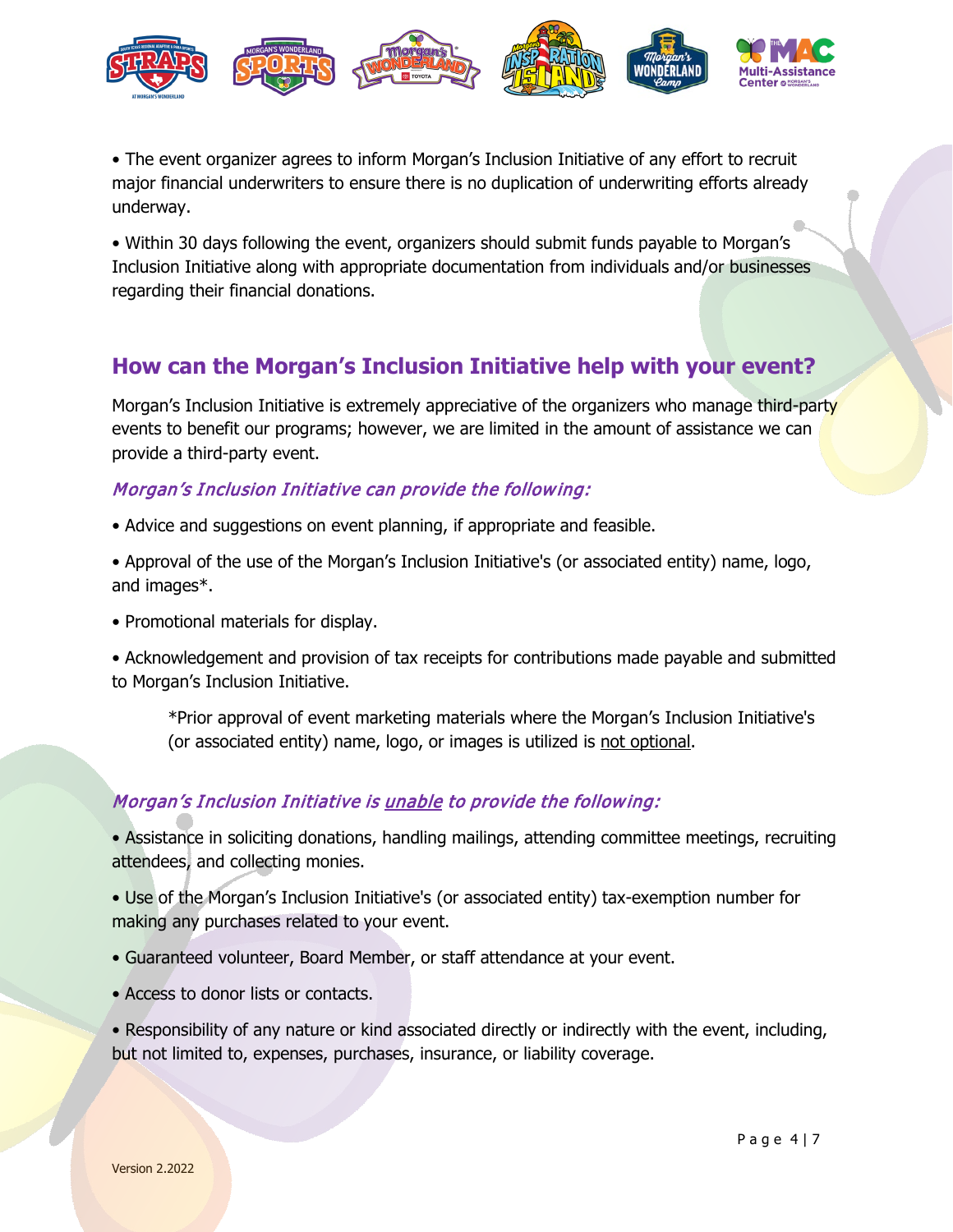

• The event organizer agrees to inform Morgan's Inclusion Initiative of any effort to recruit major financial underwriters to ensure there is no duplication of underwriting efforts already underway.

• Within 30 days following the event, organizers should submit funds payable to Morgan's Inclusion Initiative along with appropriate documentation from individuals and/or businesses regarding their financial donations.

## **How can the Morgan's Inclusion Initiative help with your event?**

Morgan's Inclusion Initiative is extremely appreciative of the organizers who manage third-party events to benefit our programs; however, we are limited in the amount of assistance we can provide a third‐party event.

#### Morgan's Inclusion Initiative can provide the following:

- Advice and suggestions on event planning, if appropriate and feasible.
- Approval of the use of the Morgan's Inclusion Initiative's (or associated entity) name, logo, and images\*.
- Promotional materials for display.

• Acknowledgement and provision of tax receipts for contributions made payable and submitted to Morgan's Inclusion Initiative.

\*Prior approval of event marketing materials where the Morgan's Inclusion Initiative's (or associated entity) name, logo, or images is utilized is not optional.

#### Morgan's Inclusion Initiative is unable to provide the following:

• Assistance in soliciting donations, handling mailings, attending committee meetings, recruiting attendees, and collecting monies.

• Use of the Morgan's Inclusion Initiative's (or associated entity) tax‐exemption number for making any purchases related to your event.

- Guaranteed volunteer, Board Member, or staff attendance at your event.
- Access to donor lists or contacts.
- Responsibility of any nature or kind associated directly or indirectly with the event, including, but not limited to, expenses, purchases, insurance, or liability coverage.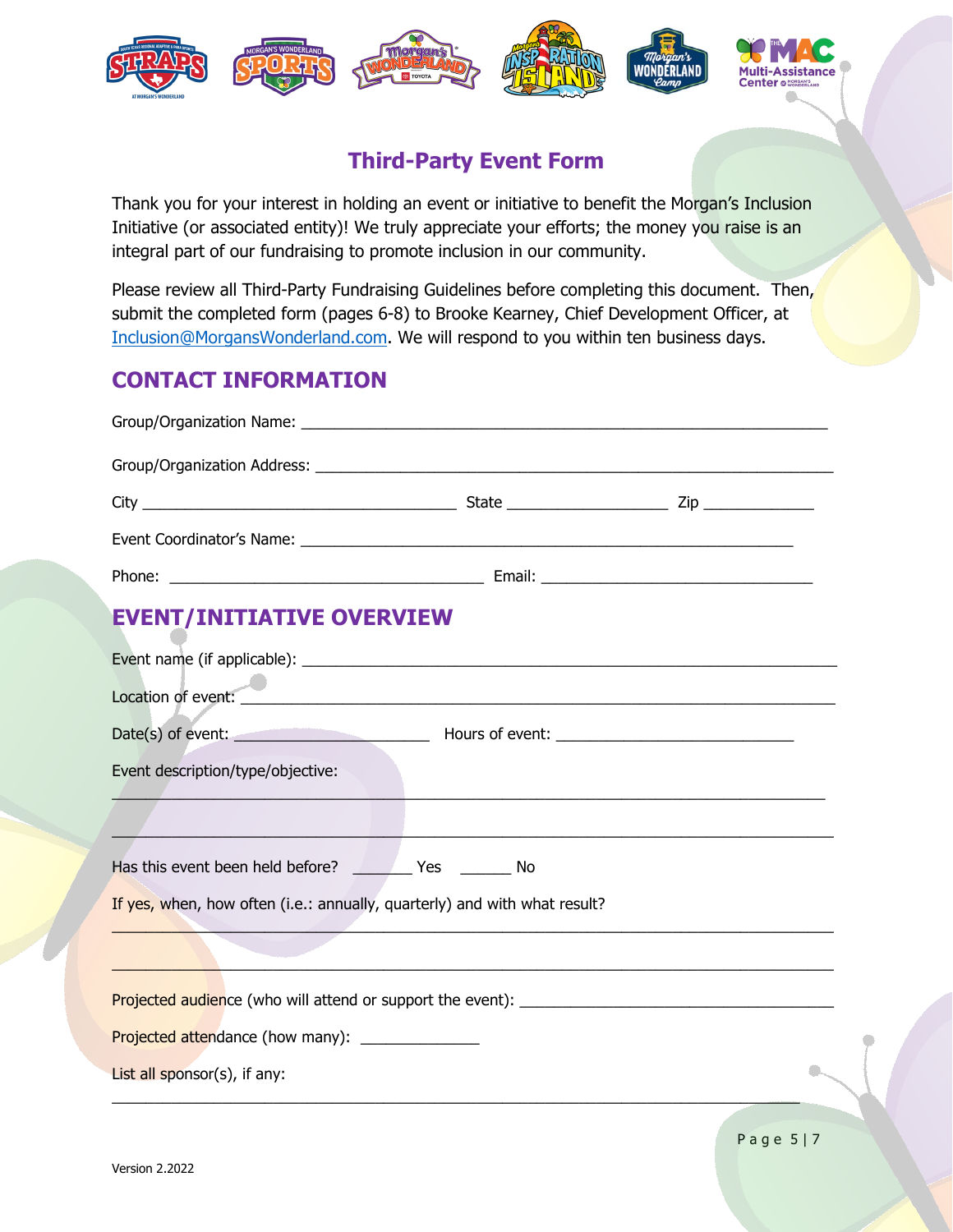

## **Third-Party Event Form**

Thank you for your interest in holding an event or initiative to benefit the Morgan's Inclusion Initiative (or associated entity)! We truly appreciate your efforts; the money you raise is an integral part of our fundraising to promote inclusion in our community.

Please review all Third-Party Fundraising Guidelines before completing this document. Then, submit the completed form (pages 6-8) to Brooke Kearney, Chief Development Officer, at [Inclusion@MorgansWonderland.com.](mailto:Inclusion@MorgansWonderland.com) We will respond to you within ten business days.

## **CONTACT INFORMATION**

| <b>EVENT/INITIATIVE OVERVIEW</b> | Location of event: William Communication of the Communication of the Communication of the Communication of the<br>Has this event been held before? No No No<br>If yes, when, how often (i.e.: annually, quarterly) and with what result?<br>Projected attendance (how many): ______________ |
|----------------------------------|---------------------------------------------------------------------------------------------------------------------------------------------------------------------------------------------------------------------------------------------------------------------------------------------|

Page 5 | 7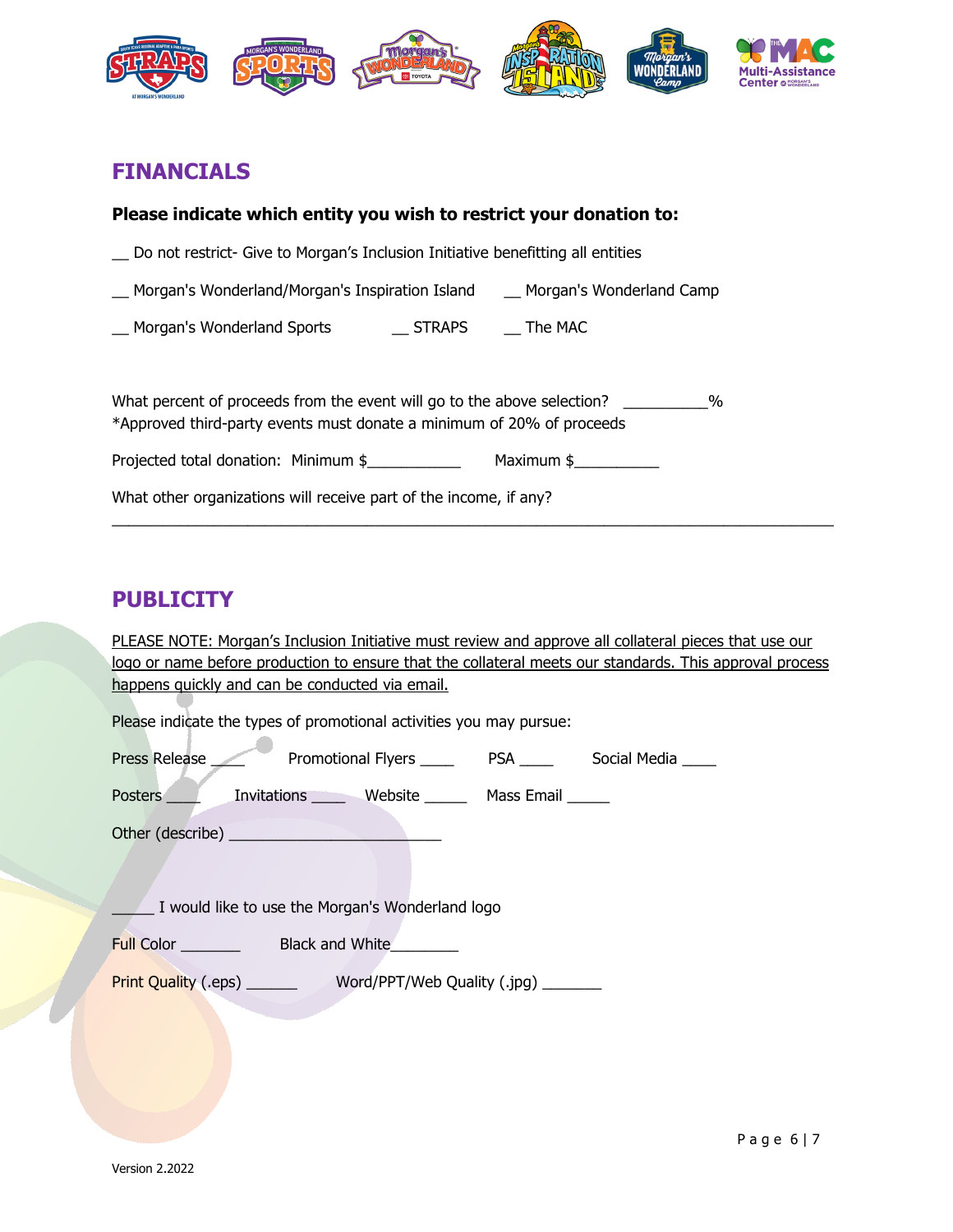

### **FINANCIALS**

#### **Please indicate which entity you wish to restrict your donation to:**

\_\_ Do not restrict- Give to Morgan's Inclusion Initiative benefitting all entities

\_\_ Morgan's Wonderland/Morgan's Inspiration Island \_\_ Morgan's Wonderland Camp

\_\_ Morgan's Wonderland Sports \_\_ STRAPS \_\_ The MAC

What percent of proceeds from the event will go to the above selection? \_\_\_\_\_\_\_\_\_% \*Approved third-party events must donate a minimum of 20% of proceeds

Projected total donation: Minimum \$\_\_\_\_\_\_\_\_\_\_\_\_\_ Maximum \$\_\_\_\_\_\_\_\_\_\_\_

What other organizations will receive part of the income, if any?

## **PUBLICITY**

PLEASE NOTE: Morgan's Inclusion Initiative must review and approve all collateral pieces that use our logo or name before production to ensure that the collateral meets our standards. This approval process happens quickly and can be conducted via email.

 $\_$  , and the set of the set of the set of the set of the set of the set of the set of the set of the set of the set of the set of the set of the set of the set of the set of the set of the set of the set of the set of th

Please indicate the types of promotional activities you may pursue:

| Press Release | <b>Promotional Flyers</b> | <b>PSA</b> | Social Media |
|---------------|---------------------------|------------|--------------|
|               |                           |            |              |

Posters **Thuitations** Website Mass Email Mass Email Algorithment Mass Email Algorithment Mass Email Algorithment

Other (describe) \_\_\_\_\_\_\_\_\_\_\_\_\_\_\_\_\_\_\_\_\_\_\_\_\_

**COLLEGE** 

\_\_\_\_\_ I would like to use the Morgan's Wonderland logo

Full Color \_\_\_\_\_\_\_\_\_\_\_ Black and White\_\_\_\_\_\_

Print Quality (.eps) \_\_\_\_\_\_ Word/PPT/Web Quality (.jpg) \_\_\_\_\_\_\_